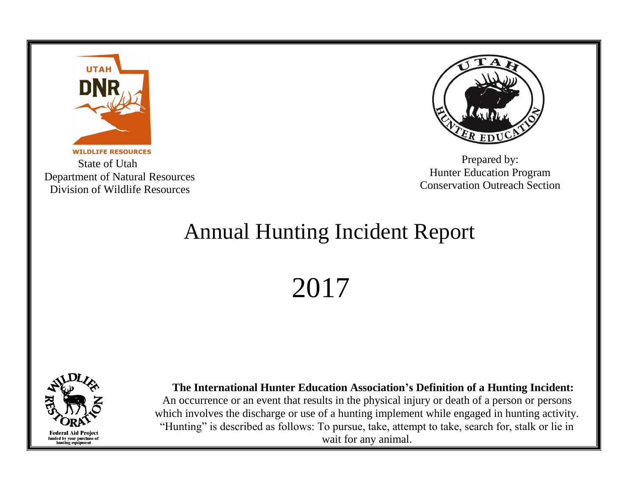

 State of Utah Department of Natural Resources Division of Wildlife Resources



Prepared by: Hunter Education Program Conservation Outreach Section

## Annual Hunting Incident Report

2017



 **The International Hunter Education Association's Definition of a Hunting Incident:** An occurrence or an event that results in the physical injury or death of a person or persons which involves the discharge or use of a hunting implement while engaged in hunting activity. "Hunting" is described as follows: To pursue, take, attempt to take, search for, stalk or lie in wait for any animal.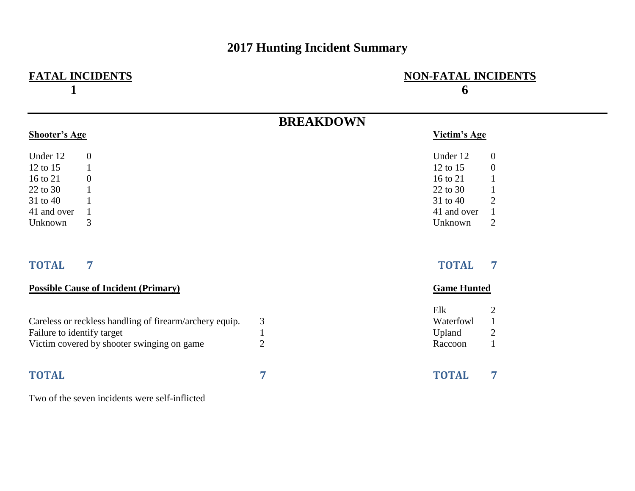## **2017 Hunting Incident Summary**

| <b>FATAL INCIDENTS</b>                                  |                  | <b>NON-FATAL INCIDENTS</b><br>6 |                  |  |
|---------------------------------------------------------|------------------|---------------------------------|------------------|--|
|                                                         | <b>BREAKDOWN</b> |                                 |                  |  |
| <b>Shooter's Age</b>                                    |                  | Victim's Age                    |                  |  |
| Under 12<br>$\boldsymbol{0}$                            |                  | Under 12                        | $\boldsymbol{0}$ |  |
| 12 to 15<br>$\mathbf{1}$                                |                  | 12 to 15                        | $\boldsymbol{0}$ |  |
| 16 to 21<br>$\boldsymbol{0}$                            |                  | 16 to 21                        |                  |  |
| 22 to 30                                                |                  | 22 to 30                        |                  |  |
| 31 to 40                                                |                  | 31 to 40                        | $\overline{2}$   |  |
| 41 and over<br>1                                        |                  | 41 and over                     | $\mathbf{1}$     |  |
| 3<br>Unknown                                            |                  | Unknown                         | $\overline{2}$   |  |
| 7<br><b>TOTAL</b>                                       |                  | <b>TOTAL</b>                    | 7                |  |
| <b>Possible Cause of Incident (Primary)</b>             |                  | <b>Game Hunted</b>              |                  |  |
|                                                         |                  | Elk                             | $\overline{c}$   |  |
| Careless or reckless handling of firearm/archery equip. | 3                | Waterfowl                       | $\mathbf{1}$     |  |
| Failure to identify target                              | $\mathbf{1}$     | Upland                          | $\mathbf{2}$     |  |
| Victim covered by shooter swinging on game              | $\overline{2}$   | Raccoon                         | $\mathbf{1}$     |  |
| <b>TOTAL</b>                                            | 7                | <b>TOTAL</b>                    | 7                |  |
| Two of the seven incidents were self-inflicted          |                  |                                 |                  |  |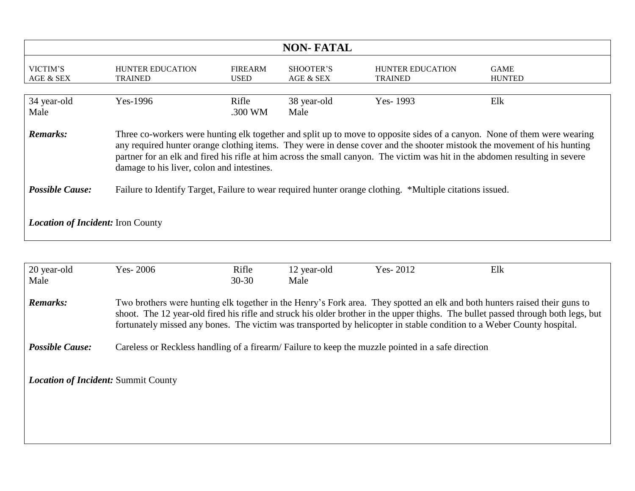| <b>NON-FATAL</b>                                                                                                                                                                                                                                                                                                                                                                                                                                     |                                           |                               |                        |                                           |                              |  |
|------------------------------------------------------------------------------------------------------------------------------------------------------------------------------------------------------------------------------------------------------------------------------------------------------------------------------------------------------------------------------------------------------------------------------------------------------|-------------------------------------------|-------------------------------|------------------------|-------------------------------------------|------------------------------|--|
| VICTIM'S<br>AGE & SEX                                                                                                                                                                                                                                                                                                                                                                                                                                | <b>HUNTER EDUCATION</b><br><b>TRAINED</b> | <b>FIREARM</b><br><b>USED</b> | SHOOTER'S<br>AGE & SEX | <b>HUNTER EDUCATION</b><br><b>TRAINED</b> | <b>GAME</b><br><b>HUNTED</b> |  |
| 34 year-old<br>Male                                                                                                                                                                                                                                                                                                                                                                                                                                  | Yes-1996                                  | Rifle<br>.300 WM              | 38 year-old<br>Male    | Yes-1993                                  | Elk                          |  |
| <b>Remarks:</b><br>Three co-workers were hunting elk together and split up to move to opposite sides of a canyon. None of them were wearing<br>any required hunter orange clothing items. They were in dense cover and the shooter mistook the movement of his hunting<br>partner for an elk and fired his rifle at him across the small canyon. The victim was hit in the abdomen resulting in severe<br>damage to his liver, colon and intestines. |                                           |                               |                        |                                           |                              |  |
| <b>Possible Cause:</b><br>Failure to Identify Target, Failure to wear required hunter orange clothing. *Multiple citations issued.                                                                                                                                                                                                                                                                                                                   |                                           |                               |                        |                                           |                              |  |
| <b>Location of Incident:</b> Iron County                                                                                                                                                                                                                                                                                                                                                                                                             |                                           |                               |                        |                                           |                              |  |

| 20 year-old                                | Yes-2006 | Rifle     | 12 year-old | Yes- $2012$                                                                                                                                                                                                                                          | Elk                                                                                                                               |
|--------------------------------------------|----------|-----------|-------------|------------------------------------------------------------------------------------------------------------------------------------------------------------------------------------------------------------------------------------------------------|-----------------------------------------------------------------------------------------------------------------------------------|
| Male                                       |          | $30 - 30$ | Male        |                                                                                                                                                                                                                                                      |                                                                                                                                   |
| <b>Remarks:</b>                            |          |           |             | Two brothers were hunting elk together in the Henry's Fork area. They spotted an elk and both hunters raised their guns to<br>fortunately missed any bones. The victim was transported by helicopter in stable condition to a Weber County hospital. | shoot. The 12 year-old fired his rifle and struck his older brother in the upper thighs. The bullet passed through both legs, but |
| <b>Possible Cause:</b>                     |          |           |             | Careless or Reckless handling of a firearm/Failure to keep the muzzle pointed in a safe direction                                                                                                                                                    |                                                                                                                                   |
|                                            |          |           |             |                                                                                                                                                                                                                                                      |                                                                                                                                   |
| <b>Location of Incident: Summit County</b> |          |           |             |                                                                                                                                                                                                                                                      |                                                                                                                                   |
|                                            |          |           |             |                                                                                                                                                                                                                                                      |                                                                                                                                   |
|                                            |          |           |             |                                                                                                                                                                                                                                                      |                                                                                                                                   |
|                                            |          |           |             |                                                                                                                                                                                                                                                      |                                                                                                                                   |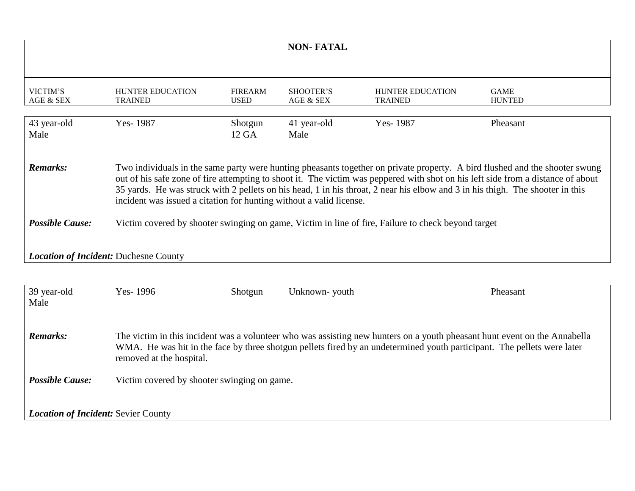|                                                                                                                                                                                                                                                                                                     |                                                                                                                                                                                                                                                                                                                                                                                                                                                                         |                               | <b>NON-FATAL</b>              |                                           |                              |  |
|-----------------------------------------------------------------------------------------------------------------------------------------------------------------------------------------------------------------------------------------------------------------------------------------------------|-------------------------------------------------------------------------------------------------------------------------------------------------------------------------------------------------------------------------------------------------------------------------------------------------------------------------------------------------------------------------------------------------------------------------------------------------------------------------|-------------------------------|-------------------------------|-------------------------------------------|------------------------------|--|
|                                                                                                                                                                                                                                                                                                     |                                                                                                                                                                                                                                                                                                                                                                                                                                                                         |                               |                               |                                           |                              |  |
| VICTIM'S<br>AGE & SEX                                                                                                                                                                                                                                                                               | <b>HUNTER EDUCATION</b><br><b>TRAINED</b>                                                                                                                                                                                                                                                                                                                                                                                                                               | <b>FIREARM</b><br><b>USED</b> | <b>SHOOTER'S</b><br>AGE & SEX | <b>HUNTER EDUCATION</b><br><b>TRAINED</b> | <b>GAME</b><br><b>HUNTED</b> |  |
| 43 year-old<br>Male                                                                                                                                                                                                                                                                                 | Yes-1987                                                                                                                                                                                                                                                                                                                                                                                                                                                                | Shotgun<br>12 GA              | 41 year-old<br>Male           | Yes-1987                                  | Pheasant                     |  |
| <b>Remarks:</b>                                                                                                                                                                                                                                                                                     | Two individuals in the same party were hunting pheasants together on private property. A bird flushed and the shooter swung<br>out of his safe zone of fire attempting to shoot it. The victim was peppered with shot on his left side from a distance of about<br>35 yards. He was struck with 2 pellets on his head, 1 in his throat, 2 near his elbow and 3 in his thigh. The shooter in this<br>incident was issued a citation for hunting without a valid license. |                               |                               |                                           |                              |  |
| <b>Possible Cause:</b>                                                                                                                                                                                                                                                                              | Victim covered by shooter swinging on game, Victim in line of fire, Failure to check beyond target                                                                                                                                                                                                                                                                                                                                                                      |                               |                               |                                           |                              |  |
| <b>Location of Incident: Duchesne County</b>                                                                                                                                                                                                                                                        |                                                                                                                                                                                                                                                                                                                                                                                                                                                                         |                               |                               |                                           |                              |  |
|                                                                                                                                                                                                                                                                                                     |                                                                                                                                                                                                                                                                                                                                                                                                                                                                         |                               |                               |                                           |                              |  |
| 39 year-old<br>Male                                                                                                                                                                                                                                                                                 | Yes-1996                                                                                                                                                                                                                                                                                                                                                                                                                                                                | Shotgun                       | Unknown-youth                 |                                           | Pheasant                     |  |
| <b>Remarks:</b><br>The victim in this incident was a volunteer who was assisting new hunters on a youth pheasant hunt event on the Annabella<br>WMA. He was hit in the face by three shotgun pellets fired by an undetermined youth participant. The pellets were later<br>removed at the hospital. |                                                                                                                                                                                                                                                                                                                                                                                                                                                                         |                               |                               |                                           |                              |  |
| <b>Possible Cause:</b>                                                                                                                                                                                                                                                                              | Victim covered by shooter swinging on game.                                                                                                                                                                                                                                                                                                                                                                                                                             |                               |                               |                                           |                              |  |
| <b>Location of Incident: Sevier County</b>                                                                                                                                                                                                                                                          |                                                                                                                                                                                                                                                                                                                                                                                                                                                                         |                               |                               |                                           |                              |  |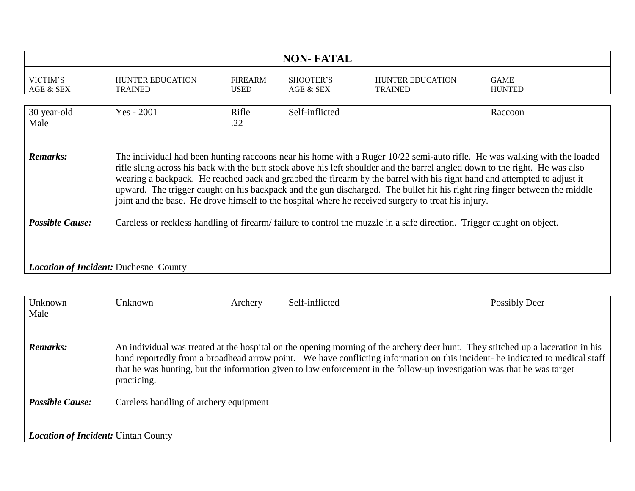| <b>NON-FATAL</b>                                                                                                                                                                                                                                                                                                                                                                                                                                                                                                                                                                                                                              |                                                                                                                       |                               |                        |                                           |                              |  |
|-----------------------------------------------------------------------------------------------------------------------------------------------------------------------------------------------------------------------------------------------------------------------------------------------------------------------------------------------------------------------------------------------------------------------------------------------------------------------------------------------------------------------------------------------------------------------------------------------------------------------------------------------|-----------------------------------------------------------------------------------------------------------------------|-------------------------------|------------------------|-------------------------------------------|------------------------------|--|
| VICTIM'S<br>AGE & SEX                                                                                                                                                                                                                                                                                                                                                                                                                                                                                                                                                                                                                         | <b>HUNTER EDUCATION</b><br><b>TRAINED</b>                                                                             | <b>FIREARM</b><br><b>USED</b> | SHOOTER'S<br>AGE & SEX | <b>HUNTER EDUCATION</b><br><b>TRAINED</b> | <b>GAME</b><br><b>HUNTED</b> |  |
| 30 year-old<br>Male                                                                                                                                                                                                                                                                                                                                                                                                                                                                                                                                                                                                                           | Yes - 2001                                                                                                            | Rifle<br>.22                  | Self-inflicted         |                                           | Raccoon                      |  |
| <b>Remarks:</b><br>The individual had been hunting raccoons near his home with a Ruger 10/22 semi-auto rifle. He was walking with the loaded<br>rifle slung across his back with the butt stock above his left shoulder and the barrel angled down to the right. He was also<br>wearing a backpack. He reached back and grabbed the firearm by the barrel with his right hand and attempted to adjust it<br>upward. The trigger caught on his backpack and the gun discharged. The bullet hit his right ring finger between the middle<br>joint and the base. He drove himself to the hospital where he received surgery to treat his injury. |                                                                                                                       |                               |                        |                                           |                              |  |
| <b>Possible Cause:</b>                                                                                                                                                                                                                                                                                                                                                                                                                                                                                                                                                                                                                        | Careless or reckless handling of firearm/failure to control the muzzle in a safe direction. Trigger caught on object. |                               |                        |                                           |                              |  |
| <b>Location of Incident: Duchesne County</b>                                                                                                                                                                                                                                                                                                                                                                                                                                                                                                                                                                                                  |                                                                                                                       |                               |                        |                                           |                              |  |
|                                                                                                                                                                                                                                                                                                                                                                                                                                                                                                                                                                                                                                               |                                                                                                                       |                               |                        |                                           |                              |  |
| Unknown<br>Male                                                                                                                                                                                                                                                                                                                                                                                                                                                                                                                                                                                                                               | Unknown                                                                                                               | Archery                       | Self-inflicted         |                                           | <b>Possibly Deer</b>         |  |
| <b>Remarks:</b><br>An individual was treated at the hospital on the opening morning of the archery deer hunt. They stitched up a laceration in his<br>hand reportedly from a broadhead arrow point. We have conflicting information on this incident- he indicated to medical staff<br>that he was hunting, but the information given to law enforcement in the follow-up investigation was that he was target<br>practicing.                                                                                                                                                                                                                 |                                                                                                                       |                               |                        |                                           |                              |  |
| <b>Possible Cause:</b>                                                                                                                                                                                                                                                                                                                                                                                                                                                                                                                                                                                                                        | Careless handling of archery equipment                                                                                |                               |                        |                                           |                              |  |
| <b>Location of Incident: Uintah County</b>                                                                                                                                                                                                                                                                                                                                                                                                                                                                                                                                                                                                    |                                                                                                                       |                               |                        |                                           |                              |  |